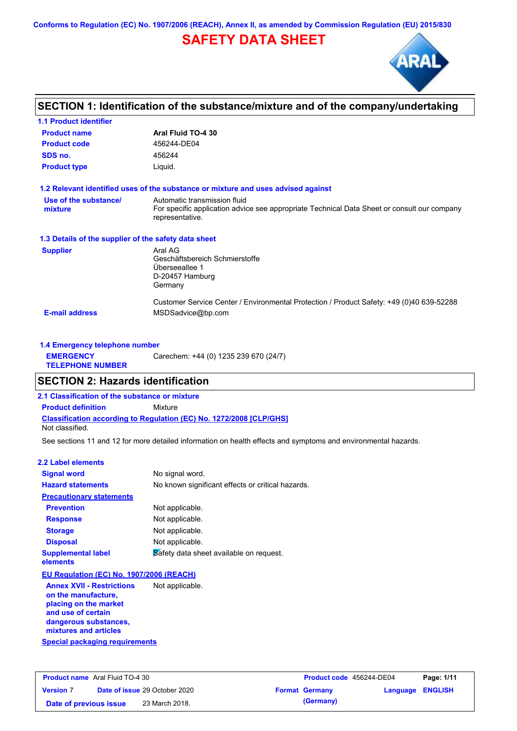**Conforms to Regulation (EC) No. 1907/2006 (REACH), Annex II, as amended by Commission Regulation (EU) 2015/830**

# **SAFETY DATA SHEET**



## **SECTION 1: Identification of the substance/mixture and of the company/undertaking**

| <b>1.1 Product identifier</b>                        |                                                                                                                                                |
|------------------------------------------------------|------------------------------------------------------------------------------------------------------------------------------------------------|
| <b>Product name</b>                                  | Aral Fluid TO-4 30                                                                                                                             |
| <b>Product code</b>                                  | 456244-DE04                                                                                                                                    |
| SDS no.                                              | 456244                                                                                                                                         |
| <b>Product type</b>                                  | Liquid.                                                                                                                                        |
|                                                      | 1.2 Relevant identified uses of the substance or mixture and uses advised against                                                              |
| Use of the substance/<br>mixture                     | Automatic transmission fluid<br>For specific application advice see appropriate Technical Data Sheet or consult our company<br>representative. |
| 1.3 Details of the supplier of the safety data sheet |                                                                                                                                                |
| <b>Supplier</b>                                      | Aral AG<br>Geschäftsbereich Schmierstoffe<br>Überseeallee 1<br>D-20457 Hamburg<br>Germany                                                      |
| <b>E-mail address</b>                                | Customer Service Center / Environmental Protection / Product Safety: +49 (0)40 639-52288<br>MSDSadvice@bp.com                                  |

| 1.4 Emergency telephone number              |                                       |  |  |  |
|---------------------------------------------|---------------------------------------|--|--|--|
| <b>EMERGENCY</b><br><b>TELEPHONE NUMBER</b> | Carechem: +44 (0) 1235 239 670 (24/7) |  |  |  |

## **SECTION 2: Hazards identification**

**2.1 Classification of the substance or mixture**

**Classification according to Regulation (EC) No. 1272/2008 [CLP/GHS] Product definition** Mixture

Not classified.

See sections 11 and 12 for more detailed information on health effects and symptoms and environmental hazards.

### **2.2 Label elements**

| <b>Signal word</b>                       | No signal word.                                   |
|------------------------------------------|---------------------------------------------------|
| <b>Hazard statements</b>                 | No known significant effects or critical hazards. |
| <b>Precautionary statements</b>          |                                                   |
| <b>Prevention</b>                        | Not applicable.                                   |
| <b>Response</b>                          | Not applicable.                                   |
| <b>Storage</b>                           | Not applicable.                                   |
| <b>Disposal</b>                          | Not applicable.                                   |
| <b>Supplemental label</b><br>elements    | Safety data sheet available on request.           |
| EU Regulation (EC) No. 1907/2006 (REACH) |                                                   |
| <b>Annex XVII - Restrictions</b>         | Not applicable.                                   |

**Special packaging requirements on the manufacture, placing on the market and use of certain dangerous substances, mixtures and articles**

| <b>Product name</b> Aral Fluid TO-4 30 |  | Product code 456244-DE04             |  | Page: 1/11            |                         |  |
|----------------------------------------|--|--------------------------------------|--|-----------------------|-------------------------|--|
| <b>Version 7</b>                       |  | <b>Date of issue 29 October 2020</b> |  | <b>Format Germany</b> | <b>Language ENGLISH</b> |  |
| Date of previous issue                 |  | 23 March 2018.                       |  | (Germany)             |                         |  |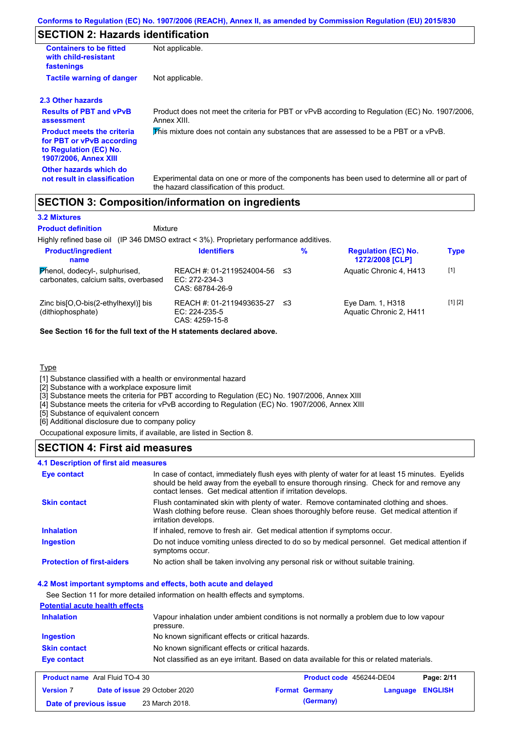# **SECTION 2: Hazards identification**

| <b>Containers to be fitted</b><br>with child-resistant<br>fastenings                                                     | Not applicable.                                                                                                                            |
|--------------------------------------------------------------------------------------------------------------------------|--------------------------------------------------------------------------------------------------------------------------------------------|
| <b>Tactile warning of danger</b>                                                                                         | Not applicable.                                                                                                                            |
| 2.3 Other hazards                                                                                                        |                                                                                                                                            |
| <b>Results of PBT and vPvB</b><br>assessment                                                                             | Product does not meet the criteria for PBT or vPvB according to Regulation (EC) No. 1907/2006,<br>Annex XIII.                              |
| <b>Product meets the criteria</b><br>for PBT or vPvB according<br>to Regulation (EC) No.<br><b>1907/2006, Annex XIII</b> | This mixture does not contain any substances that are assessed to be a PBT or a vPvB.                                                      |
| Other hazards which do<br>not result in classification                                                                   | Experimental data on one or more of the components has been used to determine all or part of<br>the hazard classification of this product. |

## **SECTION 3: Composition/information on ingredients**

### **3.2 Mixtures**

Mixture **Product definition**

Highly refined base oil (IP 346 DMSO extract < 3%). Proprietary performance additives.

| <b>Product/ingredient</b><br>name                                      | <b>Identifiers</b>                                              |      | % | <b>Regulation (EC) No.</b><br>1272/2008 [CLP] | <b>Type</b> |
|------------------------------------------------------------------------|-----------------------------------------------------------------|------|---|-----------------------------------------------|-------------|
| Phenol, dodecyl-, sulphurised,<br>carbonates, calcium salts, overbased | REACH #: 01-2119524004-56<br>$EC: 272-234-3$<br>CAS: 68784-26-9 | ו≥ ≤ |   | Aquatic Chronic 4, H413                       | $[1]$       |
| Zinc bis [O, O-bis (2-ethylhexyl)] bis<br>(dithiophosphate)            | REACH #: 01-2119493635-27<br>EC: 224-235-5<br>CAS: 4259-15-8    | ו≥ ≤ |   | Eye Dam. 1, H318<br>Aquatic Chronic 2, H411   | [1] [2]     |

**See Section 16 for the full text of the H statements declared above.**

### **Type**

[1] Substance classified with a health or environmental hazard

[2] Substance with a workplace exposure limit

[3] Substance meets the criteria for PBT according to Regulation (EC) No. 1907/2006, Annex XIII

[4] Substance meets the criteria for vPvB according to Regulation (EC) No. 1907/2006, Annex XIII

[5] Substance of equivalent concern

[6] Additional disclosure due to company policy

Occupational exposure limits, if available, are listed in Section 8.

## **SECTION 4: First aid measures**

### **4.1 Description of first aid measures**

| <b>Eye contact</b>                | In case of contact, immediately flush eyes with plenty of water for at least 15 minutes. Eyelids<br>should be held away from the eyeball to ensure thorough rinsing. Check for and remove any<br>contact lenses. Get medical attention if irritation develops. |
|-----------------------------------|----------------------------------------------------------------------------------------------------------------------------------------------------------------------------------------------------------------------------------------------------------------|
| <b>Skin contact</b>               | Flush contaminated skin with plenty of water. Remove contaminated clothing and shoes.<br>Wash clothing before reuse. Clean shoes thoroughly before reuse. Get medical attention if<br>irritation develops.                                                     |
| <b>Inhalation</b>                 | If inhaled, remove to fresh air. Get medical attention if symptoms occur.                                                                                                                                                                                      |
| <b>Ingestion</b>                  | Do not induce vomiting unless directed to do so by medical personnel. Get medical attention if<br>symptoms occur.                                                                                                                                              |
| <b>Protection of first-aiders</b> | No action shall be taken involving any personal risk or without suitable training.                                                                                                                                                                             |

### **4.2 Most important symptoms and effects, both acute and delayed**

See Section 11 for more detailed information on health effects and symptoms.

| <b>Potential acute health effects</b> |                                                                                                     |
|---------------------------------------|-----------------------------------------------------------------------------------------------------|
| <b>Inhalation</b>                     | Vapour inhalation under ambient conditions is not normally a problem due to low vapour<br>pressure. |
| <b>Ingestion</b>                      | No known significant effects or critical hazards.                                                   |
| <b>Skin contact</b>                   | No known significant effects or critical hazards.                                                   |
| <b>Eye contact</b>                    | Not classified as an eye irritant. Based on data available for this or related materials.           |

| <b>Product name</b> Aral Fluid TO-4 30 |  | <b>Product code</b> 456244-DE04      |  | Page: 2/11            |                  |  |
|----------------------------------------|--|--------------------------------------|--|-----------------------|------------------|--|
| <b>Version 7</b>                       |  | <b>Date of issue 29 October 2020</b> |  | <b>Format Germany</b> | Language ENGLISH |  |
| Date of previous issue                 |  | 23 March 2018.                       |  | (Germany)             |                  |  |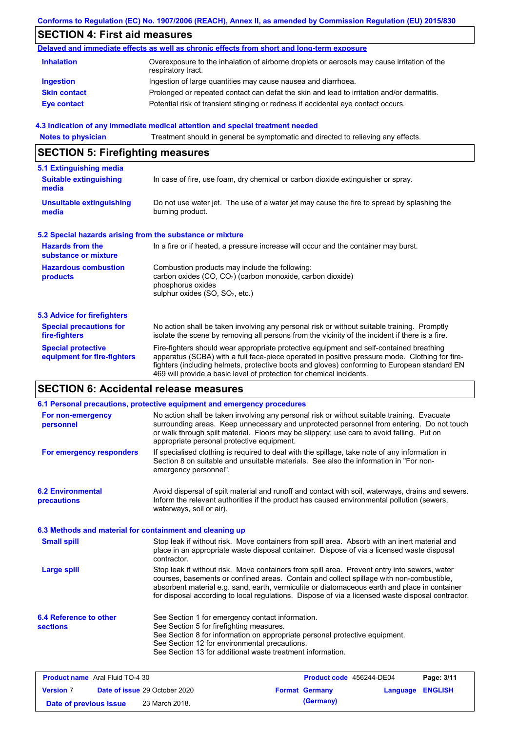### **Conforms to Regulation (EC) No. 1907/2006 (REACH), Annex II, as amended by Commission Regulation (EU) 2015/830**

# **SECTION 4: First aid measures**

|                     | Delayed and immediate effects as well as chronic effects from short and long-term exposure                        |
|---------------------|-------------------------------------------------------------------------------------------------------------------|
| <b>Inhalation</b>   | Overexposure to the inhalation of airborne droplets or aerosols may cause irritation of the<br>respiratory tract. |
| Ingestion           | Ingestion of large quantities may cause nausea and diarrhoea.                                                     |
| <b>Skin contact</b> | Prolonged or repeated contact can defat the skin and lead to irritation and/or dermatitis.                        |
| <b>Eye contact</b>  | Potential risk of transient stinging or redness if accidental eye contact occurs.                                 |

### **4.3 Indication of any immediate medical attention and special treatment needed**

**Notes to physician** Treatment should in general be symptomatic and directed to relieving any effects.

# **SECTION 5: Firefighting measures**

| 5.1 Extinguishing media                                                                                                                |                                                                                                                                                                                                                                                                                                                                                                   |  |  |
|----------------------------------------------------------------------------------------------------------------------------------------|-------------------------------------------------------------------------------------------------------------------------------------------------------------------------------------------------------------------------------------------------------------------------------------------------------------------------------------------------------------------|--|--|
| <b>Suitable extinguishing</b><br>media                                                                                                 | In case of fire, use foam, dry chemical or carbon dioxide extinguisher or spray.                                                                                                                                                                                                                                                                                  |  |  |
| <b>Unsuitable extinguishing</b><br>media                                                                                               | Do not use water jet. The use of a water jet may cause the fire to spread by splashing the<br>burning product.                                                                                                                                                                                                                                                    |  |  |
| 5.2 Special hazards arising from the substance or mixture                                                                              |                                                                                                                                                                                                                                                                                                                                                                   |  |  |
| <b>Hazards from the</b><br>In a fire or if heated, a pressure increase will occur and the container may burst.<br>substance or mixture |                                                                                                                                                                                                                                                                                                                                                                   |  |  |
| <b>Hazardous combustion</b><br>products                                                                                                | Combustion products may include the following:<br>carbon oxides (CO, CO <sub>2</sub> ) (carbon monoxide, carbon dioxide)<br>phosphorus oxides<br>sulphur oxides (SO, SO <sub>2</sub> , etc.)                                                                                                                                                                      |  |  |
| 5.3 Advice for firefighters                                                                                                            |                                                                                                                                                                                                                                                                                                                                                                   |  |  |
| <b>Special precautions for</b><br>fire-fighters                                                                                        | No action shall be taken involving any personal risk or without suitable training. Promptly<br>isolate the scene by removing all persons from the vicinity of the incident if there is a fire.                                                                                                                                                                    |  |  |
| <b>Special protective</b><br>equipment for fire-fighters                                                                               | Fire-fighters should wear appropriate protective equipment and self-contained breathing<br>apparatus (SCBA) with a full face-piece operated in positive pressure mode. Clothing for fire-<br>fighters (including helmets, protective boots and gloves) conforming to European standard EN<br>469 will provide a basic level of protection for chemical incidents. |  |  |

## **SECTION 6: Accidental release measures**

| 6.1 Personal precautions, protective equipment and emergency procedures |                                                                                                                                                                                                                                                                                                                                                                                                |  |                          |          |                |
|-------------------------------------------------------------------------|------------------------------------------------------------------------------------------------------------------------------------------------------------------------------------------------------------------------------------------------------------------------------------------------------------------------------------------------------------------------------------------------|--|--------------------------|----------|----------------|
| For non-emergency<br>personnel                                          | No action shall be taken involving any personal risk or without suitable training. Evacuate<br>surrounding areas. Keep unnecessary and unprotected personnel from entering. Do not touch<br>or walk through spilt material. Floors may be slippery; use care to avoid falling. Put on<br>appropriate personal protective equipment.                                                            |  |                          |          |                |
| For emergency responders                                                | If specialised clothing is required to deal with the spillage, take note of any information in<br>Section 8 on suitable and unsuitable materials. See also the information in "For non-<br>emergency personnel".                                                                                                                                                                               |  |                          |          |                |
| <b>6.2 Environmental</b><br>precautions                                 | Avoid dispersal of spilt material and runoff and contact with soil, waterways, drains and sewers.<br>Inform the relevant authorities if the product has caused environmental pollution (sewers,<br>waterways, soil or air).                                                                                                                                                                    |  |                          |          |                |
| 6.3 Methods and material for containment and cleaning up                |                                                                                                                                                                                                                                                                                                                                                                                                |  |                          |          |                |
| <b>Small spill</b>                                                      | Stop leak if without risk. Move containers from spill area. Absorb with an inert material and<br>place in an appropriate waste disposal container. Dispose of via a licensed waste disposal<br>contractor.                                                                                                                                                                                     |  |                          |          |                |
| <b>Large spill</b>                                                      | Stop leak if without risk. Move containers from spill area. Prevent entry into sewers, water<br>courses, basements or confined areas. Contain and collect spillage with non-combustible,<br>absorbent material e.g. sand, earth, vermiculite or diatomaceous earth and place in container<br>for disposal according to local regulations. Dispose of via a licensed waste disposal contractor. |  |                          |          |                |
| 6.4 Reference to other<br><b>sections</b>                               | See Section 1 for emergency contact information.<br>See Section 5 for firefighting measures.<br>See Section 8 for information on appropriate personal protective equipment.<br>See Section 12 for environmental precautions.<br>See Section 13 for additional waste treatment information.                                                                                                     |  |                          |          |                |
| <b>Product name</b> Aral Fluid TO-4 30                                  |                                                                                                                                                                                                                                                                                                                                                                                                |  | Product code 456244-DE04 |          | Page: 3/11     |
| <b>Version 7</b><br>Date of issue 29 October 2020                       |                                                                                                                                                                                                                                                                                                                                                                                                |  | <b>Format Germany</b>    | Language | <b>ENGLISH</b> |

**Date of previous issue** 23 March 2018. **(Germany) (Germany)**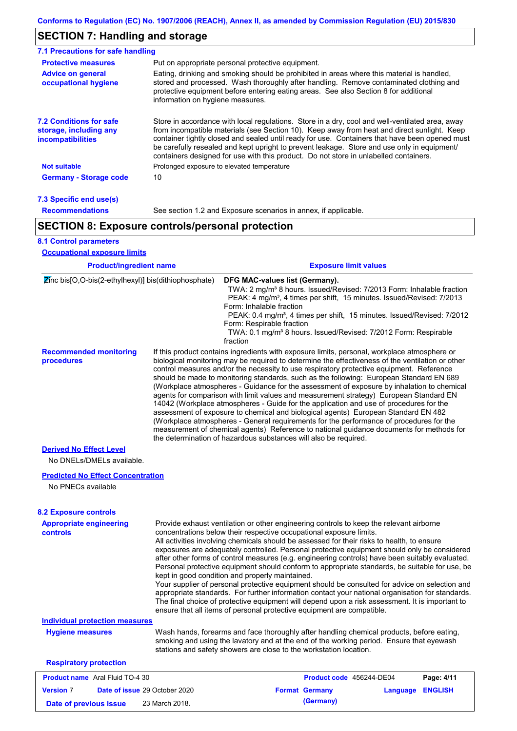# **SECTION 7: Handling and storage**

| <b>Protective measures</b>                                                    | Put on appropriate personal protective equipment.                                                                                                                                                                                                                                                                                                                                                                                                                                        |
|-------------------------------------------------------------------------------|------------------------------------------------------------------------------------------------------------------------------------------------------------------------------------------------------------------------------------------------------------------------------------------------------------------------------------------------------------------------------------------------------------------------------------------------------------------------------------------|
| <b>Advice on general</b><br>occupational hygiene                              | Eating, drinking and smoking should be prohibited in areas where this material is handled.<br>stored and processed. Wash thoroughly after handling. Remove contaminated clothing and<br>protective equipment before entering eating areas. See also Section 8 for additional<br>information on hygiene measures.                                                                                                                                                                         |
| <b>7.2 Conditions for safe</b><br>storage, including any<br>incompatibilities | Store in accordance with local requlations. Store in a dry, cool and well-ventilated area, away<br>from incompatible materials (see Section 10). Keep away from heat and direct sunlight. Keep<br>container tightly closed and sealed until ready for use. Containers that have been opened must<br>be carefully resealed and kept upright to prevent leakage. Store and use only in equipment/<br>containers designed for use with this product. Do not store in unlabelled containers. |
| <b>Not suitable</b>                                                           | Prolonged exposure to elevated temperature                                                                                                                                                                                                                                                                                                                                                                                                                                               |
| <b>Germany - Storage code</b>                                                 | 10                                                                                                                                                                                                                                                                                                                                                                                                                                                                                       |

### **7.3 Specific end use(s) Recommendations**

See section 1.2 and Exposure scenarios in annex, if applicable.

# **SECTION 8: Exposure controls/personal protection**

## **8.1 Control parameters**

| <b>Product/ingredient name</b>                                   |                               |                                                                                                                                                                                                                                                                                                                                                                                                                                                                                                                                                                                                                                                                                                                                                                                                                                                                                                                                                                                                                            | <b>Exposure limit values</b>                                                                                                                                                                                                                                                                                                                 |          |                |
|------------------------------------------------------------------|-------------------------------|----------------------------------------------------------------------------------------------------------------------------------------------------------------------------------------------------------------------------------------------------------------------------------------------------------------------------------------------------------------------------------------------------------------------------------------------------------------------------------------------------------------------------------------------------------------------------------------------------------------------------------------------------------------------------------------------------------------------------------------------------------------------------------------------------------------------------------------------------------------------------------------------------------------------------------------------------------------------------------------------------------------------------|----------------------------------------------------------------------------------------------------------------------------------------------------------------------------------------------------------------------------------------------------------------------------------------------------------------------------------------------|----------|----------------|
| $\mathbb{Z}$ inc bis[O,O-bis(2-ethylhexyl)] bis(dithiophosphate) |                               | DFG MAC-values list (Germany).<br>Form: Inhalable fraction<br>Form: Respirable fraction<br>fraction                                                                                                                                                                                                                                                                                                                                                                                                                                                                                                                                                                                                                                                                                                                                                                                                                                                                                                                        | TWA: 2 mg/m <sup>3</sup> 8 hours. Issued/Revised: 7/2013 Form: Inhalable fraction<br>PEAK: 4 mg/m <sup>3</sup> , 4 times per shift, 15 minutes. Issued/Revised: 7/2013<br>PEAK: 0.4 mg/m <sup>3</sup> , 4 times per shift, 15 minutes. Issued/Revised: 7/2012<br>TWA: 0.1 mg/m <sup>3</sup> 8 hours. Issued/Revised: 7/2012 Form: Respirable |          |                |
| <b>Recommended monitoring</b><br>procedures                      |                               | If this product contains ingredients with exposure limits, personal, workplace atmosphere or<br>biological monitoring may be required to determine the effectiveness of the ventilation or other<br>control measures and/or the necessity to use respiratory protective equipment. Reference<br>should be made to monitoring standards, such as the following: European Standard EN 689<br>(Workplace atmospheres - Guidance for the assessment of exposure by inhalation to chemical<br>agents for comparison with limit values and measurement strategy) European Standard EN<br>14042 (Workplace atmospheres - Guide for the application and use of procedures for the<br>assessment of exposure to chemical and biological agents) European Standard EN 482<br>(Workplace atmospheres - General requirements for the performance of procedures for the<br>measurement of chemical agents) Reference to national guidance documents for methods for<br>the determination of hazardous substances will also be required. |                                                                                                                                                                                                                                                                                                                                              |          |                |
| <b>Derived No Effect Level</b>                                   |                               |                                                                                                                                                                                                                                                                                                                                                                                                                                                                                                                                                                                                                                                                                                                                                                                                                                                                                                                                                                                                                            |                                                                                                                                                                                                                                                                                                                                              |          |                |
| No DNELs/DMELs available.                                        |                               |                                                                                                                                                                                                                                                                                                                                                                                                                                                                                                                                                                                                                                                                                                                                                                                                                                                                                                                                                                                                                            |                                                                                                                                                                                                                                                                                                                                              |          |                |
| <b>Predicted No Effect Concentration</b>                         |                               |                                                                                                                                                                                                                                                                                                                                                                                                                                                                                                                                                                                                                                                                                                                                                                                                                                                                                                                                                                                                                            |                                                                                                                                                                                                                                                                                                                                              |          |                |
| No PNECs available                                               |                               |                                                                                                                                                                                                                                                                                                                                                                                                                                                                                                                                                                                                                                                                                                                                                                                                                                                                                                                                                                                                                            |                                                                                                                                                                                                                                                                                                                                              |          |                |
| <b>8.2 Exposure controls</b>                                     |                               |                                                                                                                                                                                                                                                                                                                                                                                                                                                                                                                                                                                                                                                                                                                                                                                                                                                                                                                                                                                                                            |                                                                                                                                                                                                                                                                                                                                              |          |                |
| <b>Appropriate engineering</b><br><b>controls</b>                |                               | Provide exhaust ventilation or other engineering controls to keep the relevant airborne<br>concentrations below their respective occupational exposure limits.<br>All activities involving chemicals should be assessed for their risks to health, to ensure<br>exposures are adequately controlled. Personal protective equipment should only be considered<br>after other forms of control measures (e.g. engineering controls) have been suitably evaluated.<br>Personal protective equipment should conform to appropriate standards, be suitable for use, be<br>kept in good condition and properly maintained.<br>Your supplier of personal protective equipment should be consulted for advice on selection and<br>appropriate standards. For further information contact your national organisation for standards.<br>The final choice of protective equipment will depend upon a risk assessment. It is important to<br>ensure that all items of personal protective equipment are compatible.                    |                                                                                                                                                                                                                                                                                                                                              |          |                |
| <b>Individual protection measures</b>                            |                               |                                                                                                                                                                                                                                                                                                                                                                                                                                                                                                                                                                                                                                                                                                                                                                                                                                                                                                                                                                                                                            |                                                                                                                                                                                                                                                                                                                                              |          |                |
| <b>Hygiene measures</b>                                          |                               | Wash hands, forearms and face thoroughly after handling chemical products, before eating,<br>smoking and using the lavatory and at the end of the working period. Ensure that eyewash<br>stations and safety showers are close to the workstation location.                                                                                                                                                                                                                                                                                                                                                                                                                                                                                                                                                                                                                                                                                                                                                                |                                                                                                                                                                                                                                                                                                                                              |          |                |
| <b>Respiratory protection</b>                                    |                               |                                                                                                                                                                                                                                                                                                                                                                                                                                                                                                                                                                                                                                                                                                                                                                                                                                                                                                                                                                                                                            |                                                                                                                                                                                                                                                                                                                                              |          |                |
| <b>Product name</b> Aral Fluid TO-4 30                           |                               |                                                                                                                                                                                                                                                                                                                                                                                                                                                                                                                                                                                                                                                                                                                                                                                                                                                                                                                                                                                                                            | Product code 456244-DE04                                                                                                                                                                                                                                                                                                                     |          | Page: 4/11     |
| <b>Version 7</b>                                                 | Date of issue 29 October 2020 |                                                                                                                                                                                                                                                                                                                                                                                                                                                                                                                                                                                                                                                                                                                                                                                                                                                                                                                                                                                                                            | <b>Format Germany</b>                                                                                                                                                                                                                                                                                                                        | Language | <b>ENGLISH</b> |
| Date of previous issue                                           | 23 March 2018.                |                                                                                                                                                                                                                                                                                                                                                                                                                                                                                                                                                                                                                                                                                                                                                                                                                                                                                                                                                                                                                            | (Germany)                                                                                                                                                                                                                                                                                                                                    |          |                |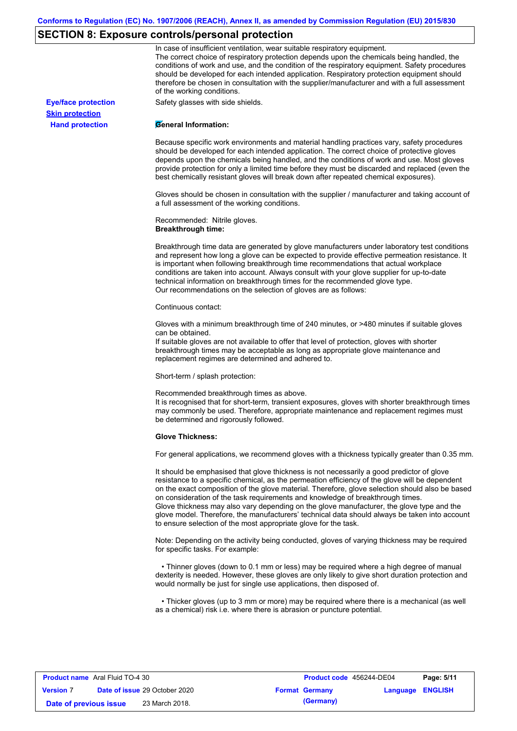## **SECTION 8: Exposure controls/personal protection**

**Hand protection**

**Skin protection**

In case of insufficient ventilation, wear suitable respiratory equipment. The correct choice of respiratory protection depends upon the chemicals being handled, the conditions of work and use, and the condition of the respiratory equipment. Safety procedures should be developed for each intended application. Respiratory protection equipment should therefore be chosen in consultation with the supplier/manufacturer and with a full assessment of the working conditions.

**Eye/face protection** Safety glasses with side shields.

### **General Information:**

Because specific work environments and material handling practices vary, safety procedures should be developed for each intended application. The correct choice of protective gloves depends upon the chemicals being handled, and the conditions of work and use. Most gloves provide protection for only a limited time before they must be discarded and replaced (even the best chemically resistant gloves will break down after repeated chemical exposures).

Gloves should be chosen in consultation with the supplier / manufacturer and taking account of a full assessment of the working conditions.

Recommended: Nitrile gloves. **Breakthrough time:**

Breakthrough time data are generated by glove manufacturers under laboratory test conditions and represent how long a glove can be expected to provide effective permeation resistance. It is important when following breakthrough time recommendations that actual workplace conditions are taken into account. Always consult with your glove supplier for up-to-date technical information on breakthrough times for the recommended glove type. Our recommendations on the selection of gloves are as follows:

#### Continuous contact:

Gloves with a minimum breakthrough time of 240 minutes, or >480 minutes if suitable gloves can be obtained.

If suitable gloves are not available to offer that level of protection, gloves with shorter breakthrough times may be acceptable as long as appropriate glove maintenance and replacement regimes are determined and adhered to.

Short-term / splash protection:

Recommended breakthrough times as above.

It is recognised that for short-term, transient exposures, gloves with shorter breakthrough times may commonly be used. Therefore, appropriate maintenance and replacement regimes must be determined and rigorously followed.

### **Glove Thickness:**

For general applications, we recommend gloves with a thickness typically greater than 0.35 mm.

It should be emphasised that glove thickness is not necessarily a good predictor of glove resistance to a specific chemical, as the permeation efficiency of the glove will be dependent on the exact composition of the glove material. Therefore, glove selection should also be based on consideration of the task requirements and knowledge of breakthrough times. Glove thickness may also vary depending on the glove manufacturer, the glove type and the glove model. Therefore, the manufacturers' technical data should always be taken into account to ensure selection of the most appropriate glove for the task.

Note: Depending on the activity being conducted, gloves of varying thickness may be required for specific tasks. For example:

 • Thinner gloves (down to 0.1 mm or less) may be required where a high degree of manual dexterity is needed. However, these gloves are only likely to give short duration protection and would normally be just for single use applications, then disposed of.

 • Thicker gloves (up to 3 mm or more) may be required where there is a mechanical (as well as a chemical) risk i.e. where there is abrasion or puncture potential.

| <b>Product name</b> Aral Fluid TO-4 30 |                                      | <b>Product code</b> 456244-DE04 |                  | Page: 5/11 |
|----------------------------------------|--------------------------------------|---------------------------------|------------------|------------|
| <b>Version 7</b>                       | <b>Date of issue 29 October 2020</b> | <b>Format Germany</b>           | Language ENGLISH |            |
| Date of previous issue                 | 23 March 2018.                       | (Germany)                       |                  |            |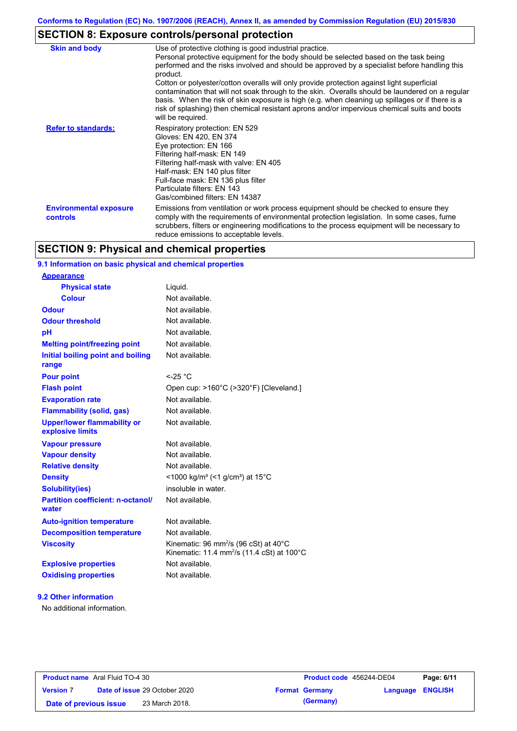# **SECTION 8: Exposure controls/personal protection**

| <b>Skin and body</b>                      | Use of protective clothing is good industrial practice.<br>Personal protective equipment for the body should be selected based on the task being<br>performed and the risks involved and should be approved by a specialist before handling this<br>product.<br>Cotton or polyester/cotton overalls will only provide protection against light superficial<br>contamination that will not soak through to the skin. Overalls should be laundered on a regular<br>basis. When the risk of skin exposure is high (e.g. when cleaning up spillages or if there is a<br>risk of splashing) then chemical resistant aprons and/or impervious chemical suits and boots<br>will be required. |
|-------------------------------------------|---------------------------------------------------------------------------------------------------------------------------------------------------------------------------------------------------------------------------------------------------------------------------------------------------------------------------------------------------------------------------------------------------------------------------------------------------------------------------------------------------------------------------------------------------------------------------------------------------------------------------------------------------------------------------------------|
| <b>Refer to standards:</b>                | Respiratory protection: EN 529<br>Gloves: EN 420, EN 374<br>Eye protection: EN 166<br>Filtering half-mask: EN 149<br>Filtering half-mask with valve: EN 405<br>Half-mask: EN 140 plus filter<br>Full-face mask: EN 136 plus filter<br>Particulate filters: EN 143<br>Gas/combined filters: EN 14387                                                                                                                                                                                                                                                                                                                                                                                   |
| <b>Environmental exposure</b><br>controls | Emissions from ventilation or work process equipment should be checked to ensure they<br>comply with the requirements of environmental protection legislation. In some cases, fume<br>scrubbers, filters or engineering modifications to the process equipment will be necessary to<br>reduce emissions to acceptable levels.                                                                                                                                                                                                                                                                                                                                                         |

# **SECTION 9: Physical and chemical properties**

## **9.1 Information on basic physical and chemical properties**

| <b>Appearance</b>                                      |                                                                                                                                 |
|--------------------------------------------------------|---------------------------------------------------------------------------------------------------------------------------------|
| <b>Physical state</b>                                  | Liquid.                                                                                                                         |
| <b>Colour</b>                                          | Not available.                                                                                                                  |
| Odour                                                  | Not available.                                                                                                                  |
| <b>Odour threshold</b>                                 | Not available.                                                                                                                  |
| рH                                                     | Not available.                                                                                                                  |
| <b>Melting point/freezing point</b>                    | Not available.                                                                                                                  |
| Initial boiling point and boiling<br>range             | Not available.                                                                                                                  |
| <b>Pour point</b>                                      | $<$ -25 °C                                                                                                                      |
| <b>Flash point</b>                                     | Open cup: >160°C (>320°F) [Cleveland.]                                                                                          |
| <b>Evaporation rate</b>                                | Not available.                                                                                                                  |
| <b>Flammability (solid, gas)</b>                       | Not available.                                                                                                                  |
| <b>Upper/lower flammability or</b><br>explosive limits | Not available.                                                                                                                  |
| <b>Vapour pressure</b>                                 | Not available.                                                                                                                  |
| <b>Vapour density</b>                                  | Not available.                                                                                                                  |
| <b>Relative density</b>                                | Not available.                                                                                                                  |
| <b>Density</b>                                         | <1000 kg/m <sup>3</sup> (<1 g/cm <sup>3</sup> ) at 15 <sup>°</sup> C                                                            |
| <b>Solubility(ies)</b>                                 | insoluble in water.                                                                                                             |
| <b>Partition coefficient: n-octanol/</b><br>water      | Not available.                                                                                                                  |
| <b>Auto-ignition temperature</b>                       | Not available.                                                                                                                  |
| <b>Decomposition temperature</b>                       | Not available.                                                                                                                  |
| <b>Viscosity</b>                                       | Kinematic: 96 mm <sup>2</sup> /s (96 cSt) at $40^{\circ}$ C<br>Kinematic: 11.4 mm <sup>2</sup> /s (11.4 cSt) at $100^{\circ}$ C |
| <b>Explosive properties</b>                            | Not available.                                                                                                                  |
| <b>Oxidising properties</b>                            | Not available.                                                                                                                  |

### **9.2 Other information**

No additional information.

| <b>Product name</b> Aral Fluid TO-4 30 |                                      | <b>Product code</b> 456244-DE04 |                         | Page: 6/11 |
|----------------------------------------|--------------------------------------|---------------------------------|-------------------------|------------|
| <b>Version 7</b>                       | <b>Date of issue 29 October 2020</b> | <b>Format Germany</b>           | <b>Language ENGLISH</b> |            |
| Date of previous issue                 | 23 March 2018.                       | (Germany)                       |                         |            |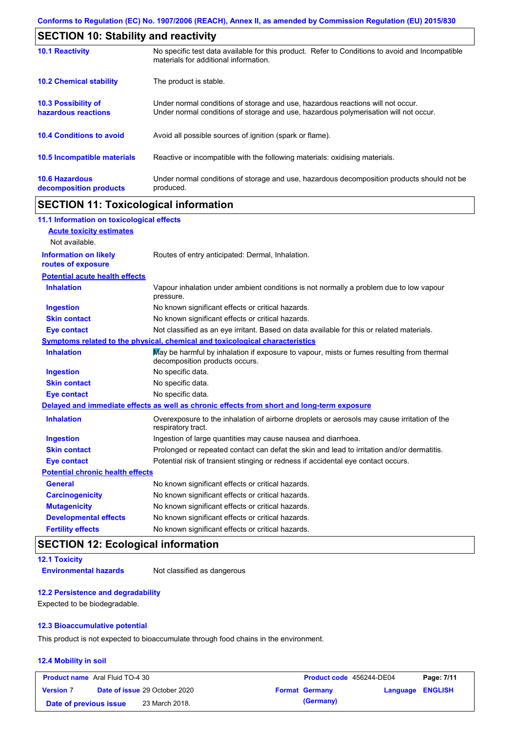| <b>SECTION 10: Stability and reactivity</b>     |                                                                                                                                                                         |
|-------------------------------------------------|-------------------------------------------------------------------------------------------------------------------------------------------------------------------------|
| <b>10.1 Reactivity</b>                          | No specific test data available for this product. Refer to Conditions to avoid and Incompatible<br>materials for additional information.                                |
| <b>10.2 Chemical stability</b>                  | The product is stable.                                                                                                                                                  |
| 10.3 Possibility of<br>hazardous reactions      | Under normal conditions of storage and use, hazardous reactions will not occur.<br>Under normal conditions of storage and use, hazardous polymerisation will not occur. |
| <b>10.4 Conditions to avoid</b>                 | Avoid all possible sources of ignition (spark or flame).                                                                                                                |
| <b>10.5 Incompatible materials</b>              | Reactive or incompatible with the following materials: oxidising materials.                                                                                             |
| <b>10.6 Hazardous</b><br>decomposition products | Under normal conditions of storage and use, hazardous decomposition products should not be<br>produced.                                                                 |

# **SECTION 11: Toxicological information**

| 11.1 Information on toxicological effects          |                                                                                                                             |
|----------------------------------------------------|-----------------------------------------------------------------------------------------------------------------------------|
| <b>Acute toxicity estimates</b>                    |                                                                                                                             |
| Not available.                                     |                                                                                                                             |
| <b>Information on likely</b><br>routes of exposure | Routes of entry anticipated: Dermal, Inhalation.                                                                            |
| <b>Potential acute health effects</b>              |                                                                                                                             |
| <b>Inhalation</b>                                  | Vapour inhalation under ambient conditions is not normally a problem due to low vapour<br>pressure.                         |
| <b>Ingestion</b>                                   | No known significant effects or critical hazards.                                                                           |
| <b>Skin contact</b>                                | No known significant effects or critical hazards.                                                                           |
| <b>Eye contact</b>                                 | Not classified as an eye irritant. Based on data available for this or related materials.                                   |
|                                                    | Symptoms related to the physical, chemical and toxicological characteristics                                                |
| <b>Inhalation</b>                                  | May be harmful by inhalation if exposure to vapour, mists or fumes resulting from thermal<br>decomposition products occurs. |
| <b>Ingestion</b>                                   | No specific data.                                                                                                           |
| <b>Skin contact</b>                                | No specific data.                                                                                                           |
| <b>Eye contact</b>                                 | No specific data.                                                                                                           |
|                                                    | Delayed and immediate effects as well as chronic effects from short and long-term exposure                                  |
| <b>Inhalation</b>                                  | Overexposure to the inhalation of airborne droplets or aerosols may cause irritation of the<br>respiratory tract.           |
| <b>Ingestion</b>                                   | Ingestion of large quantities may cause nausea and diarrhoea.                                                               |
| <b>Skin contact</b>                                | Prolonged or repeated contact can defat the skin and lead to irritation and/or dermatitis.                                  |
| <b>Eye contact</b>                                 | Potential risk of transient stinging or redness if accidental eye contact occurs.                                           |
| <b>Potential chronic health effects</b>            |                                                                                                                             |
| <b>General</b>                                     | No known significant effects or critical hazards.                                                                           |
| <b>Carcinogenicity</b>                             | No known significant effects or critical hazards.                                                                           |
| <b>Mutagenicity</b>                                | No known significant effects or critical hazards.                                                                           |
| <b>Developmental effects</b>                       | No known significant effects or critical hazards.                                                                           |
| <b>Fertility effects</b>                           | No known significant effects or critical hazards.                                                                           |

# **SECTION 12: Ecological information**

**12.1 Toxicity Environmental hazards** Not classified as dangerous

### **12.2 Persistence and degradability**

Expected to be biodegradable.

### **12.3 Bioaccumulative potential**

This product is not expected to bioaccumulate through food chains in the environment.

### **12.4 Mobility in soil**

| <b>Product name</b> Aral Fluid TO-4 30 |                                      | <b>Product code</b> 456244-DE04 |                  | Page: 7/11 |
|----------------------------------------|--------------------------------------|---------------------------------|------------------|------------|
| <b>Version 7</b>                       | <b>Date of issue 29 October 2020</b> | <b>Format Germany</b>           | Language ENGLISH |            |
| Date of previous issue                 | 23 March 2018.                       | (Germany)                       |                  |            |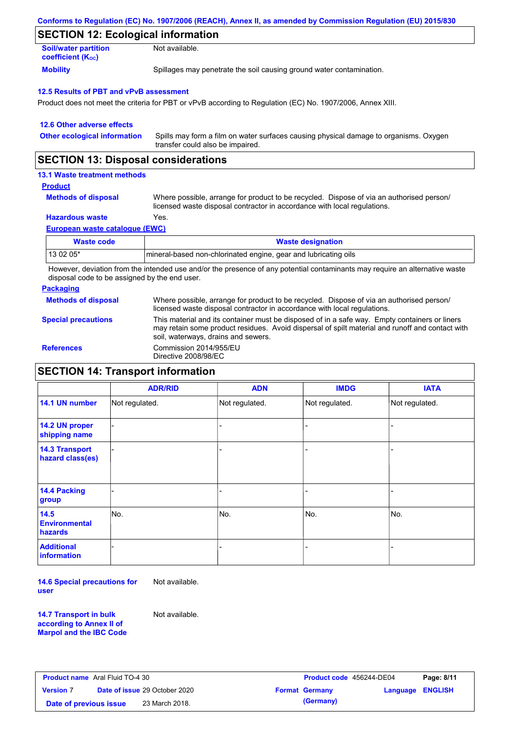| Conforms to Regulation (EC) No. 1907/2006 (REACH), Annex II, as amended by Commission Regulation (EU) 2015/830 |  |
|----------------------------------------------------------------------------------------------------------------|--|
|----------------------------------------------------------------------------------------------------------------|--|

## **SECTION 12: Ecological information**

| <b>Soil/water partition</b> | Not available.                                                       |
|-----------------------------|----------------------------------------------------------------------|
| <b>coefficient (Koc)</b>    |                                                                      |
| <b>Mobility</b>             | Spillages may penetrate the soil causing ground water contamination. |

### **12.5 Results of PBT and vPvB assessment**

Product does not meet the criteria for PBT or vPvB according to Regulation (EC) No. 1907/2006, Annex XIII.

| 12.6 Other adverse effects          |                                                                                                                           |
|-------------------------------------|---------------------------------------------------------------------------------------------------------------------------|
| <b>Other ecological information</b> | Spills may form a film on water surfaces causing physical damage to organisms. Oxygen<br>transfer could also be impaired. |

## **SECTION 13: Disposal considerations**

### **13.1 Waste treatment methods**

### **Product**

**Methods of disposal**

Where possible, arrange for product to be recycled. Dispose of via an authorised person/ licensed waste disposal contractor in accordance with local regulations.

### **Hazardous waste** Yes.

**European waste catalogue (EWC)**

| Waste code | <b>Waste designation</b>                                         |
|------------|------------------------------------------------------------------|
| 13 02 05*  | Imineral-based non-chlorinated engine, gear and lubricating oils |

However, deviation from the intended use and/or the presence of any potential contaminants may require an alternative waste disposal code to be assigned by the end user.

### **Packaging**

**Methods of disposal** Where possible, arrange for product to be recycled. Dispose of via an authorised person/

**Special precautions**

licensed waste disposal contractor in accordance with local regulations. This material and its container must be disposed of in a safe way. Empty containers or liners

may retain some product residues. Avoid dispersal of spilt material and runoff and contact with soil, waterways, drains and sewers. **References** Commission 2014/955/EU Directive 2008/98/EC

## **SECTION 14: Transport information**

|                                                | <b>ADR/RID</b> | <b>ADN</b>     | <b>IMDG</b>    | <b>IATA</b>    |
|------------------------------------------------|----------------|----------------|----------------|----------------|
| 14.1 UN number                                 | Not regulated. | Not regulated. | Not regulated. | Not regulated. |
| 14.2 UN proper<br>shipping name                |                |                |                |                |
| <b>14.3 Transport</b><br>hazard class(es)      |                |                |                |                |
| <b>14.4 Packing</b><br>group                   |                |                |                |                |
| 14.5<br><b>Environmental</b><br><b>hazards</b> | No.            | No.            | No.            | No.            |
| <b>Additional</b><br>information               |                |                |                |                |

**14.6 Special precautions for user** Not available.

**14.7 Transport in bulk according to Annex II of Marpol and the IBC Code** Not available.

| <b>Product name</b> Aral Fluid TO-4 30 |  |                                      | <b>Product code</b> 456244-DE04 |                       | Page: 8/11              |  |
|----------------------------------------|--|--------------------------------------|---------------------------------|-----------------------|-------------------------|--|
| <b>Version 7</b>                       |  | <b>Date of issue 29 October 2020</b> |                                 | <b>Format Germany</b> | <b>Language ENGLISH</b> |  |
| Date of previous issue                 |  | 23 March 2018.                       |                                 | (Germany)             |                         |  |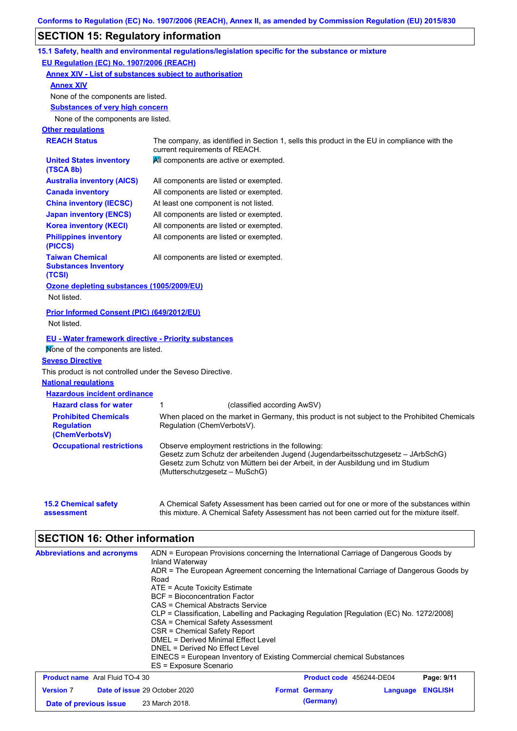# **SECTION 15: Regulatory information**

|                                                                  | 15.1 Safety, health and environmental regulations/legislation specific for the substance or mixture                                                                                                                                                     |
|------------------------------------------------------------------|---------------------------------------------------------------------------------------------------------------------------------------------------------------------------------------------------------------------------------------------------------|
| EU Regulation (EC) No. 1907/2006 (REACH)                         |                                                                                                                                                                                                                                                         |
| <b>Annex XIV - List of substances subject to authorisation</b>   |                                                                                                                                                                                                                                                         |
| <b>Annex XIV</b>                                                 |                                                                                                                                                                                                                                                         |
| None of the components are listed.                               |                                                                                                                                                                                                                                                         |
| <b>Substances of very high concern</b>                           |                                                                                                                                                                                                                                                         |
| None of the components are listed.                               |                                                                                                                                                                                                                                                         |
| <b>Other regulations</b>                                         |                                                                                                                                                                                                                                                         |
| <b>REACH Status</b>                                              | The company, as identified in Section 1, sells this product in the EU in compliance with the<br>current requirements of REACH.                                                                                                                          |
| <b>United States inventory</b><br>(TSCA 8b)                      | All components are active or exempted.                                                                                                                                                                                                                  |
| <b>Australia inventory (AICS)</b>                                | All components are listed or exempted.                                                                                                                                                                                                                  |
| <b>Canada inventory</b>                                          | All components are listed or exempted.                                                                                                                                                                                                                  |
| <b>China inventory (IECSC)</b>                                   | At least one component is not listed.                                                                                                                                                                                                                   |
| <b>Japan inventory (ENCS)</b>                                    | All components are listed or exempted.                                                                                                                                                                                                                  |
| <b>Korea inventory (KECI)</b>                                    | All components are listed or exempted.                                                                                                                                                                                                                  |
| <b>Philippines inventory</b><br>(PICCS)                          | All components are listed or exempted.                                                                                                                                                                                                                  |
| <b>Taiwan Chemical</b><br><b>Substances Inventory</b><br>(TCSI)  | All components are listed or exempted.                                                                                                                                                                                                                  |
| Ozone depleting substances (1005/2009/EU)                        |                                                                                                                                                                                                                                                         |
| Not listed.                                                      |                                                                                                                                                                                                                                                         |
| <b>Prior Informed Consent (PIC) (649/2012/EU)</b><br>Not listed. |                                                                                                                                                                                                                                                         |
| <b>EU - Water framework directive - Priority substances</b>      |                                                                                                                                                                                                                                                         |
| Mone of the components are listed.                               |                                                                                                                                                                                                                                                         |
| <b>Seveso Directive</b>                                          |                                                                                                                                                                                                                                                         |
| This product is not controlled under the Seveso Directive.       |                                                                                                                                                                                                                                                         |
| <b>National requlations</b>                                      |                                                                                                                                                                                                                                                         |
| <b>Hazardous incident ordinance</b>                              |                                                                                                                                                                                                                                                         |
| <b>Hazard class for water</b>                                    | (classified according AwSV)<br>1                                                                                                                                                                                                                        |
| <b>Prohibited Chemicals</b>                                      | When placed on the market in Germany, this product is not subject to the Prohibited Chemicals                                                                                                                                                           |
| <b>Regulation</b><br>(ChemVerbotsV)                              | Regulation (ChemVerbotsV).                                                                                                                                                                                                                              |
| <b>Occupational restrictions</b>                                 | Observe employment restrictions in the following:<br>Gesetz zum Schutz der arbeitenden Jugend (Jugendarbeitsschutzgesetz - JArbSchG)<br>Gesetz zum Schutz von Müttern bei der Arbeit, in der Ausbildung und im Studium<br>(Mutterschutzgesetz – MuSchG) |
|                                                                  | A Chemical Safety Assessment has been carried out for one or more of the substances within                                                                                                                                                              |

| <b>Abbreviations and acronyms</b>      | ADN = European Provisions concerning the International Carriage of Dangerous Goods by<br>Inland Waterway<br>ADR = The European Agreement concerning the International Carriage of Dangerous Goods by<br>Road<br>$ATE = Acute Toxicity Estimate$<br>BCF = Bioconcentration Factor<br>CAS = Chemical Abstracts Service<br>CLP = Classification, Labelling and Packaging Regulation [Regulation (EC) No. 1272/2008]<br>CSA = Chemical Safety Assessment<br>CSR = Chemical Safety Report<br>DMEL = Derived Minimal Effect Level<br>DNEL = Derived No Effect Level<br>EINECS = European Inventory of Existing Commercial chemical Substances<br>ES = Exposure Scenario |                                 |          |                |
|----------------------------------------|-------------------------------------------------------------------------------------------------------------------------------------------------------------------------------------------------------------------------------------------------------------------------------------------------------------------------------------------------------------------------------------------------------------------------------------------------------------------------------------------------------------------------------------------------------------------------------------------------------------------------------------------------------------------|---------------------------------|----------|----------------|
| <b>Product name</b> Aral Fluid TO-4 30 |                                                                                                                                                                                                                                                                                                                                                                                                                                                                                                                                                                                                                                                                   | <b>Product code</b> 456244-DE04 |          | Page: 9/11     |
| <b>Version 7</b>                       | <b>Date of issue 29 October 2020</b>                                                                                                                                                                                                                                                                                                                                                                                                                                                                                                                                                                                                                              | <b>Format Germany</b>           | Language | <b>ENGLISH</b> |
| Date of previous issue                 | 23 March 2018.                                                                                                                                                                                                                                                                                                                                                                                                                                                                                                                                                                                                                                                    | (Germany)                       |          |                |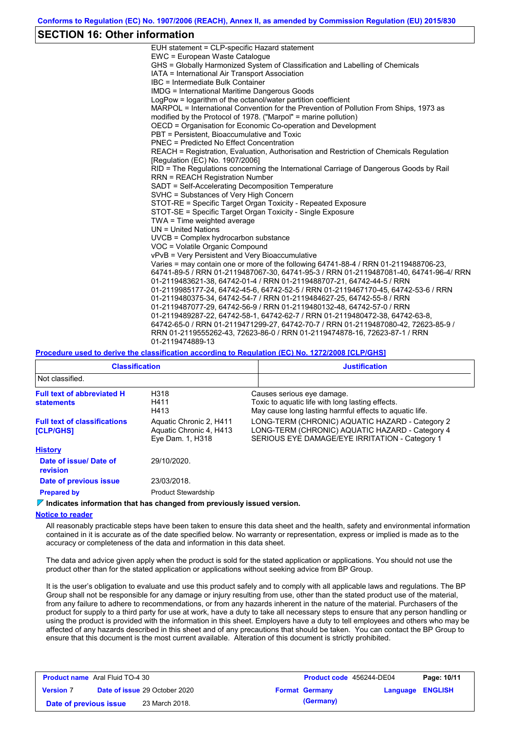## **SECTION 16: Other information**

| EUH statement = CLP-specific Hazard statement                                                                              |
|----------------------------------------------------------------------------------------------------------------------------|
| EWC = European Waste Catalogue                                                                                             |
| GHS = Globally Harmonized System of Classification and Labelling of Chemicals                                              |
| IATA = International Air Transport Association                                                                             |
| IBC = Intermediate Bulk Container                                                                                          |
| <b>IMDG = International Maritime Dangerous Goods</b>                                                                       |
| LogPow = logarithm of the octanol/water partition coefficient                                                              |
| MARPOL = International Convention for the Prevention of Pollution From Ships, 1973 as                                      |
| modified by the Protocol of 1978. ("Marpol" = marine pollution)                                                            |
| OECD = Organisation for Economic Co-operation and Development                                                              |
| PBT = Persistent, Bioaccumulative and Toxic                                                                                |
| <b>PNEC = Predicted No Effect Concentration</b>                                                                            |
| REACH = Registration, Evaluation, Authorisation and Restriction of Chemicals Regulation<br>[Requlation (EC) No. 1907/2006] |
| RID = The Regulations concerning the International Carriage of Dangerous Goods by Rail                                     |
| <b>RRN = REACH Registration Number</b>                                                                                     |
| SADT = Self-Accelerating Decomposition Temperature                                                                         |
| SVHC = Substances of Very High Concern                                                                                     |
| STOT-RE = Specific Target Organ Toxicity - Repeated Exposure                                                               |
| STOT-SE = Specific Target Organ Toxicity - Single Exposure                                                                 |
| TWA = Time weighted average                                                                                                |
| $UN = United Nations$                                                                                                      |
| UVCB = Complex hydrocarbon substance                                                                                       |
|                                                                                                                            |
| VOC = Volatile Organic Compound                                                                                            |
| vPvB = Very Persistent and Very Bioaccumulative                                                                            |
| Varies = may contain one or more of the following 64741-88-4 / RRN 01-2119488706-23,                                       |
| 64741-89-5 / RRN 01-2119487067-30, 64741-95-3 / RRN 01-2119487081-40, 64741-96-4/ RRN                                      |
| 01-2119483621-38, 64742-01-4 / RRN 01-2119488707-21, 64742-44-5 / RRN                                                      |
| 01-2119985177-24, 64742-45-6, 64742-52-5 / RRN 01-2119467170-45, 64742-53-6 / RRN                                          |
| 01-2119480375-34, 64742-54-7 / RRN 01-2119484627-25, 64742-55-8 / RRN                                                      |
| 01-2119487077-29, 64742-56-9 / RRN 01-2119480132-48, 64742-57-0 / RRN                                                      |
| 01-2119489287-22, 64742-58-1, 64742-62-7 / RRN 01-2119480472-38, 64742-63-8,                                               |
| 64742-65-0 / RRN 01-2119471299-27, 64742-70-7 / RRN 01-2119487080-42, 72623-85-9 /                                         |
| RRN 01-2119555262-43, 72623-86-0 / RRN 01-2119474878-16, 72623-87-1 / RRN                                                  |
| 01-2119474889-13                                                                                                           |
|                                                                                                                            |

### **Procedure used to derive the classification according to Regulation (EC) No. 1272/2008 [CLP/GHS]**

| <b>Classification</b>                                   |                                                                        | <b>Justification</b> |                                                                                                                                                      |  |
|---------------------------------------------------------|------------------------------------------------------------------------|----------------------|------------------------------------------------------------------------------------------------------------------------------------------------------|--|
| Not classified.                                         |                                                                        |                      |                                                                                                                                                      |  |
| <b>Full text of abbreviated H</b><br><b>statements</b>  | H318<br>H411<br>H413                                                   |                      | Causes serious eye damage.<br>Toxic to aquatic life with long lasting effects.<br>May cause long lasting harmful effects to aquatic life.            |  |
| <b>Full text of classifications</b><br><b>[CLP/GHS]</b> | Aquatic Chronic 2, H411<br>Aquatic Chronic 4, H413<br>Eye Dam. 1, H318 |                      | LONG-TERM (CHRONIC) AQUATIC HAZARD - Category 2<br>LONG-TERM (CHRONIC) AQUATIC HAZARD - Category 4<br>SERIOUS EYE DAMAGE/EYE IRRITATION - Category 1 |  |
| <b>History</b>                                          |                                                                        |                      |                                                                                                                                                      |  |
| Date of issue/ Date of<br>revision                      | 29/10/2020.                                                            |                      |                                                                                                                                                      |  |
| Date of previous issue                                  | 23/03/2018.                                                            |                      |                                                                                                                                                      |  |
| <b>Prepared by</b>                                      | <b>Product Stewardship</b>                                             |                      |                                                                                                                                                      |  |

*I* **Indicates information that has changed from previously issued version.** 

### **Notice to reader**

All reasonably practicable steps have been taken to ensure this data sheet and the health, safety and environmental information contained in it is accurate as of the date specified below. No warranty or representation, express or implied is made as to the accuracy or completeness of the data and information in this data sheet.

The data and advice given apply when the product is sold for the stated application or applications. You should not use the product other than for the stated application or applications without seeking advice from BP Group.

It is the user's obligation to evaluate and use this product safely and to comply with all applicable laws and regulations. The BP Group shall not be responsible for any damage or injury resulting from use, other than the stated product use of the material, from any failure to adhere to recommendations, or from any hazards inherent in the nature of the material. Purchasers of the product for supply to a third party for use at work, have a duty to take all necessary steps to ensure that any person handling or using the product is provided with the information in this sheet. Employers have a duty to tell employees and others who may be affected of any hazards described in this sheet and of any precautions that should be taken. You can contact the BP Group to ensure that this document is the most current available. Alteration of this document is strictly prohibited.

| <b>Product name</b> Aral Fluid TO-4 30 |  |                                      | <b>Product code</b> 456244-DE04 |                       | Page: 10/11             |  |
|----------------------------------------|--|--------------------------------------|---------------------------------|-----------------------|-------------------------|--|
| <b>Version 7</b>                       |  | <b>Date of issue 29 October 2020</b> |                                 | <b>Format Germany</b> | <b>Language ENGLISH</b> |  |
| Date of previous issue                 |  | 23 March 2018.                       |                                 | (Germany)             |                         |  |